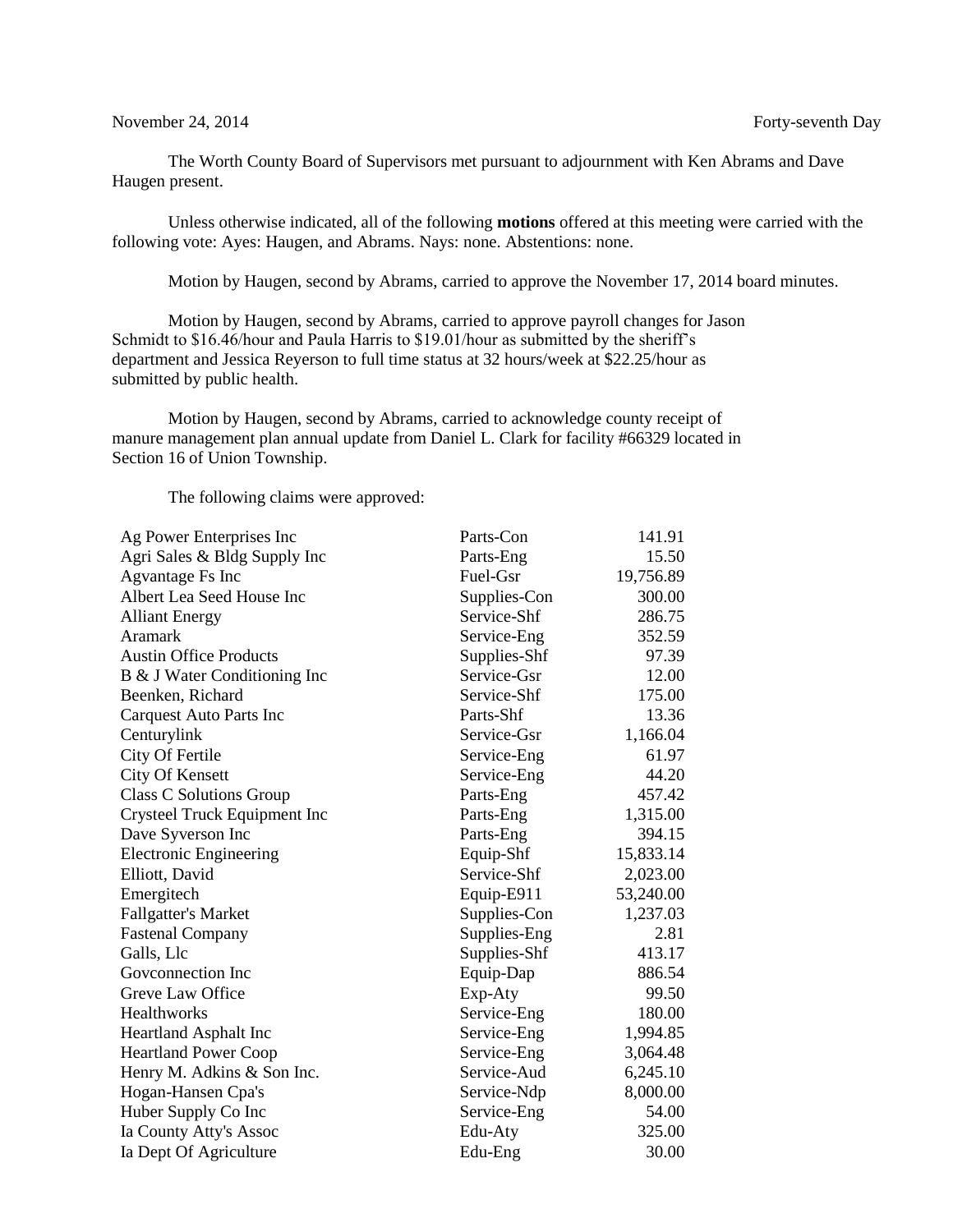## November 24, 2014 **Forty-seventh** Day

The Worth County Board of Supervisors met pursuant to adjournment with Ken Abrams and Dave Haugen present.

Unless otherwise indicated, all of the following **motions** offered at this meeting were carried with the following vote: Ayes: Haugen, and Abrams. Nays: none. Abstentions: none.

Motion by Haugen, second by Abrams, carried to approve the November 17, 2014 board minutes.

Motion by Haugen, second by Abrams, carried to approve payroll changes for Jason Schmidt to \$16.46/hour and Paula Harris to \$19.01/hour as submitted by the sheriff's department and Jessica Reyerson to full time status at 32 hours/week at \$22.25/hour as submitted by public health.

Motion by Haugen, second by Abrams, carried to acknowledge county receipt of manure management plan annual update from Daniel L. Clark for facility #66329 located in Section 16 of Union Township.

The following claims were approved:

| Ag Power Enterprises Inc       | Parts-Con    | 141.91    |
|--------------------------------|--------------|-----------|
| Agri Sales & Bldg Supply Inc   | Parts-Eng    | 15.50     |
| Agvantage Fs Inc               | Fuel-Gsr     | 19,756.89 |
| Albert Lea Seed House Inc      | Supplies-Con | 300.00    |
| <b>Alliant Energy</b>          | Service-Shf  | 286.75    |
| Aramark                        | Service-Eng  | 352.59    |
| <b>Austin Office Products</b>  | Supplies-Shf | 97.39     |
| B & J Water Conditioning Inc   | Service-Gsr  | 12.00     |
| Beenken, Richard               | Service-Shf  | 175.00    |
| <b>Carquest Auto Parts Inc</b> | Parts-Shf    | 13.36     |
| Centurylink                    | Service-Gsr  | 1,166.04  |
| City Of Fertile                | Service-Eng  | 61.97     |
| City Of Kensett                | Service-Eng  | 44.20     |
| <b>Class C Solutions Group</b> | Parts-Eng    | 457.42    |
| Crysteel Truck Equipment Inc   | Parts-Eng    | 1,315.00  |
| Dave Syverson Inc              | Parts-Eng    | 394.15    |
| <b>Electronic Engineering</b>  | Equip-Shf    | 15,833.14 |
| Elliott, David                 | Service-Shf  | 2,023.00  |
| Emergitech                     | Equip-E911   | 53,240.00 |
| <b>Fallgatter's Market</b>     | Supplies-Con | 1,237.03  |
| <b>Fastenal Company</b>        | Supplies-Eng | 2.81      |
| Galls, Llc                     | Supplies-Shf | 413.17    |
| Govconnection Inc              | Equip-Dap    | 886.54    |
| Greve Law Office               | Exp-Aty      | 99.50     |
| Healthworks                    | Service-Eng  | 180.00    |
| Heartland Asphalt Inc          | Service-Eng  | 1,994.85  |
| <b>Heartland Power Coop</b>    | Service-Eng  | 3,064.48  |
| Henry M. Adkins & Son Inc.     | Service-Aud  | 6,245.10  |
| Hogan-Hansen Cpa's             | Service-Ndp  | 8,000.00  |
| Huber Supply Co Inc            | Service-Eng  | 54.00     |
| Ia County Atty's Assoc         | Edu-Aty      | 325.00    |
| Ia Dept Of Agriculture         | Edu-Eng      | 30.00     |